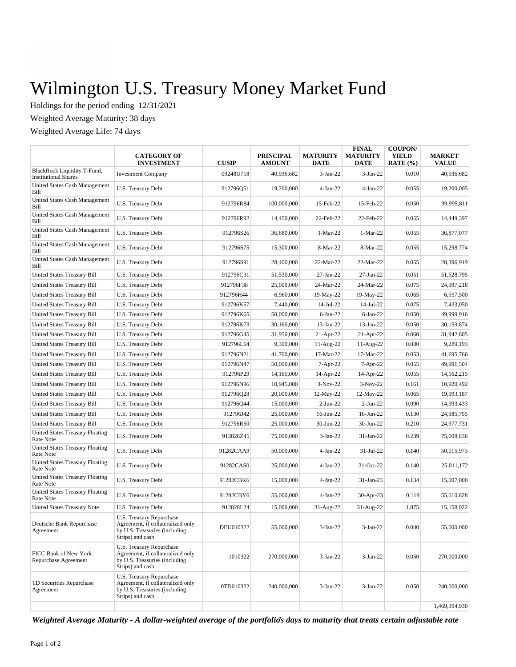## Wilmington U.S. Treasury Money Market Fund

Holdings for the period ending 12/31/2021

Weighted Average Maturity: 38 days

Weighted Average Life: 74 days

|                                                                       | <b>CATEGORY OF</b><br><b>INVESTMENT</b>                                                                            | <b>CUSIP</b> | <b>PRINCIPAL</b><br><b>AMOUNT</b> | <b>MATURITY</b><br>DATE | <b>FINAL</b><br><b>MATURITY</b><br>DATE | <b>COUPON/</b><br><b>YIELD</b><br>RATE $(\% )$ | <b>MARKET</b><br><b>VALUE</b> |
|-----------------------------------------------------------------------|--------------------------------------------------------------------------------------------------------------------|--------------|-----------------------------------|-------------------------|-----------------------------------------|------------------------------------------------|-------------------------------|
| <b>BlackRock Liquidity T-Fund,</b><br><b>Institutional Shares</b>     | <b>Investment Company</b>                                                                                          | 09248U718    | 40,936,682                        | $3-Jan-22$              | $3-Jan-22$                              | 0.010                                          | 40,936,682                    |
| United States Cash Management<br>Bill                                 | U.S. Treasury Debt                                                                                                 | 912796051    | 19,200,000                        | $4-Jan-22$              | $4-Jan-22$                              | 0.055                                          | 19,200,005                    |
| <b>United States Cash Management</b><br>Bill                          | U.S. Treasury Debt                                                                                                 | 912796R84    | 100,000,000                       | 15-Feb-22               | 15-Feb-22                               | 0.050                                          | 99,995,811                    |
| <b>United States Cash Management</b><br>Bill                          | U.S. Treasury Debt                                                                                                 | 912796R92    | 14,450,000                        | 22-Feb-22               | 22-Feb-22                               | 0.055                                          | 14,449,397                    |
| United States Cash Management<br>Bill                                 | U.S. Treasury Debt                                                                                                 | 912796S26    | 36,880,000                        | $1-Mar-22$              | 1-Mar-22                                | 0.055                                          | 36,877,077                    |
| United States Cash Management<br>Bill                                 | U.S. Treasury Debt                                                                                                 | 912796S75    | 15,300,000                        | 8-Mar-22                | 8-Mar-22                                | 0.055                                          | 15,298,774                    |
| United States Cash Management<br>Bill                                 | U.S. Treasury Debt                                                                                                 | 912796S91    | 28,400,000                        | 22-Mar-22               | 22-Mar-22                               | 0.055                                          | 28,396,919                    |
| United States Treasury Bill                                           | U.S. Treasury Debt                                                                                                 | 912796C31    | 51,530,000                        | 27-Jan-22               | 27-Jan-22                               | 0.051                                          | 51,528,795                    |
| United States Treasury Bill                                           | U.S. Treasury Debt                                                                                                 | 912796F38    | 25,000,000                        | 24-Mar-22               | 24-Mar-22                               | 0.075                                          | 24,997,218                    |
| United States Treasury Bill                                           | U.S. Treasury Debt                                                                                                 | 912796H44    | 6,960,000                         | 19-May-22               | 19-May-22                               | 0.065                                          | 6,957,500                     |
| <b>United States Treasury Bill</b>                                    | U.S. Treasury Debt                                                                                                 | 912796K57    | 7,440,000                         | 14-Jul-22               | 14-Jul-22                               | 0.075                                          | 7,433,050                     |
| <b>United States Treasury Bill</b>                                    | U.S. Treasury Debt                                                                                                 | 912796K65    | 50,000,000                        | $6-Jan-22$              | $6$ -Jan-22                             | 0.050                                          | 49,999,916                    |
| <b>United States Treasury Bill</b>                                    | U.S. Treasury Debt                                                                                                 | 912796K73    | 30,160,000                        | 13-Jan-22               | 13-Jan-22                               | 0.050                                          | 30,159,874                    |
| <b>United States Treasury Bill</b>                                    | U.S. Treasury Debt                                                                                                 | 912796G45    | 31,950,000                        | $21-Apr-22$             | $21-Apr-22$                             | 0.060                                          | 31,942,805                    |
| <b>United States Treasury Bill</b>                                    | U.S. Treasury Debt                                                                                                 | 912796L64    | 9,300,000                         | 11-Aug-22               | 11-Aug-22                               | 0.080                                          | 9,289,193                     |
| <b>United States Treasury Bill</b>                                    | U.S. Treasury Debt                                                                                                 | 912796N21    | 41,700,000                        | 17-Mar-22               | 17-Mar-22                               | 0.053                                          | 41,695,766                    |
| <b>United States Treasury Bill</b>                                    | U.S. Treasury Debt                                                                                                 | 912796N47    | 50,000,000                        | $7-Apr-22$              | $7-Apr-22$                              | 0.055                                          | 49,991,504                    |
| <b>United States Treasury Bill</b>                                    | U.S. Treasury Debt                                                                                                 | 912796P29    | 14,165,000                        | 14-Apr-22               | 14-Apr-22                               | 0.055                                          | 14, 162, 215                  |
| United States Treasury Bill                                           | U.S. Treasury Debt                                                                                                 | 912796N96    | 10,945,000                        | $3-Nov-22$              | $3-Nov-22$                              | 0.161                                          | 10,920,492                    |
| United States Treasury Bill                                           | U.S. Treasury Debt                                                                                                 | 912796Q28    | 20,000,000                        | $12$ -May-22            | 12-May-22                               | 0.065                                          | 19,993,187                    |
| United States Treasury Bill                                           | U.S. Treasury Debt                                                                                                 | 912796Q44    | 15,000,000                        | $2-Jun-22$              | $2-Jun-22$                              | 0.090                                          | 14,993,433                    |
|                                                                       |                                                                                                                    | 912796J42    | 25,000,000                        | $16$ -Jun-22            | $16$ -Jun-22                            | 0.130                                          |                               |
| United States Treasury Bill                                           | U.S. Treasury Debt                                                                                                 |              |                                   |                         |                                         | 0.210                                          | 24,985,755                    |
| United States Treasury Bill<br><b>United States Treasury Floating</b> | U.S. Treasury Debt                                                                                                 | 912796R50    | 25,000,000                        | 30-Jun-22               | 30-Jun-22                               |                                                | 24,977,731                    |
| Rate Note                                                             | U.S. Treasury Debt                                                                                                 | 912828Z45    | 75,000,000                        | $3-Jan-22$              | 31-Jan-22                               | 0.239                                          | 75,008,836                    |
| <b>United States Treasury Floating</b><br>Rate Note                   | U.S. Treasury Debt                                                                                                 | 91282CAA9    | 50,000,000                        | $4-Jan-22$              | $31-Jul-22$                             | 0.140                                          | 50,015,973                    |
| <b>United States Treasury Floating</b><br>Rate Note                   | U.S. Treasury Debt                                                                                                 | 91282CAS0    | 25,000,000                        | $4-Jan-22$              | $31-Oct-22$                             | 0.140                                          | 25,011,172                    |
| <b>United States Treasury Floating</b><br>Rate Note                   | <b>U.S. Treasury Debt</b>                                                                                          | 91282CBK6    | 15,000,000                        | $4-Jan-22$              | 31-Jan-23                               | 0.134                                          | 15,007,000                    |
| <b>United States Treasury Floating</b><br>Rate Note                   | U.S. Treasury Debt                                                                                                 | 91282CBY6    | 55,000,000                        | $4-Jan-22$              | 30-Apr-23                               | 0.119                                          | 55,010,828                    |
| United States Treasury Note                                           | U.S. Treasury Debt                                                                                                 | 912828L24    | 15,000,000                        | 31-Aug-22               | 31-Aug-22                               | 1.875                                          | 15,158,022                    |
| Deutsche Bank Repurchase<br>Agreement                                 | U.S. Treasury Repurchase<br>Agreement, if collateralized only<br>by U.S. Treasuries (including<br>Strips) and cash | DEU010322    | 55,000,000                        | $3-Jan-22$              | $3-Jan-22$                              | 0.040                                          | 55,000,000                    |
| FICC Bank of New York<br>Repurchase Agreement                         | U.S. Treasury Repurchase<br>Agreement, if collateralized only<br>by U.S. Treasuries (including<br>Strips) and cash | 1010322      | 270,000,000                       | $3-Jan-22$              | $3-Jan-22$                              | 0.050                                          | 270,000,000                   |
| TD Securities Repurchase<br>Agreement                                 | U.S. Treasury Repurchase<br>Agreement, if collateralized only<br>by U.S. Treasuries (including<br>Strips) and cash | 0TD010322    | 240,000,000                       | $3-Jan-22$              | $3-Jan-22$                              | 0.050                                          | 240,000,000                   |
|                                                                       |                                                                                                                    |              |                                   |                         |                                         |                                                | 1,469,394,930                 |

*Weighted Average Maturity - A dollar-weighted average of the portfolio's days to maturity that treats certain adjustable rate*